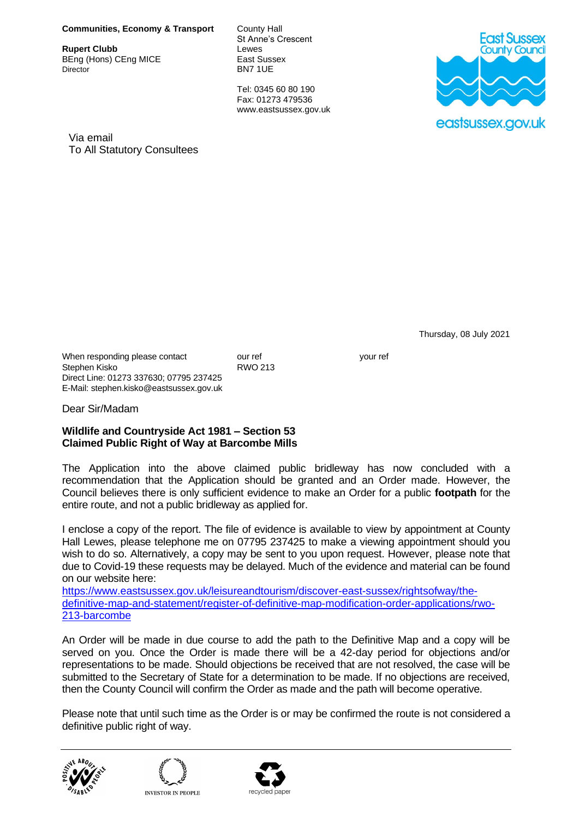## **Communities, Economy & Transport** County Hall

**Rupert Clubb Lewes**<br> **BEng (Hons) CEng MICE** East Sussex BEng (Hons) CEng MICE<br>Director

St Anne's Crescent<br>Lewes BN7 1UE

Tel: 0345 60 80 190 Fax: 01273 479536 www.eastsussex.gov.uk



Via email To All Statutory Consultees

Thursday, 08 July 2021

When responding please contact our ref volume our ref your ref your ref your ref your ref your ref your ref your ref your ref your ref your ref your ref your ref your ref your ref your ref your ref your ref your ref your r

Dear Sir/Madam

Direct Line: 01273 337630; 07795 237425 E-Mail: stephen.kisko@eastsussex.gov.uk

Stephen Kisko

## **Wildlife and Countryside Act 1981 – Section 53 Claimed Public Right of Way at Barcombe Mills**

The Application into the above claimed public bridleway has now concluded with a recommendation that the Application should be granted and an Order made. However, the Council believes there is only sufficient evidence to make an Order for a public **footpath** for the entire route, and not a public bridleway as applied for.

I enclose a copy of the report. The file of evidence is available to view by appointment at County Hall Lewes, please telephone me on 07795 237425 to make a viewing appointment should you wish to do so. Alternatively, a copy may be sent to you upon request. However, please note that due to Covid-19 these requests may be delayed. Much of the evidence and material can be found on our website here:

[https://www.eastsussex.gov.uk/leisureandtourism/discover-east-sussex/rightsofway/the](https://www.eastsussex.gov.uk/leisureandtourism/discover-east-sussex/rightsofway/the-definitive-map-and-statement/register-of-definitive-map-modification-order-applications/rwo-213-barcombe)[definitive-map-and-statement/register-of-definitive-map-modification-order-applications/rwo-](https://www.eastsussex.gov.uk/leisureandtourism/discover-east-sussex/rightsofway/the-definitive-map-and-statement/register-of-definitive-map-modification-order-applications/rwo-213-barcombe)[213-barcombe](https://www.eastsussex.gov.uk/leisureandtourism/discover-east-sussex/rightsofway/the-definitive-map-and-statement/register-of-definitive-map-modification-order-applications/rwo-213-barcombe)

An Order will be made in due course to add the path to the Definitive Map and a copy will be served on you. Once the Order is made there will be a 42-day period for objections and/or representations to be made. Should objections be received that are not resolved, the case will be submitted to the Secretary of State for a determination to be made. If no objections are received, then the County Council will confirm the Order as made and the path will become operative.

Please note that until such time as the Order is or may be confirmed the route is not considered a definitive public right of way.